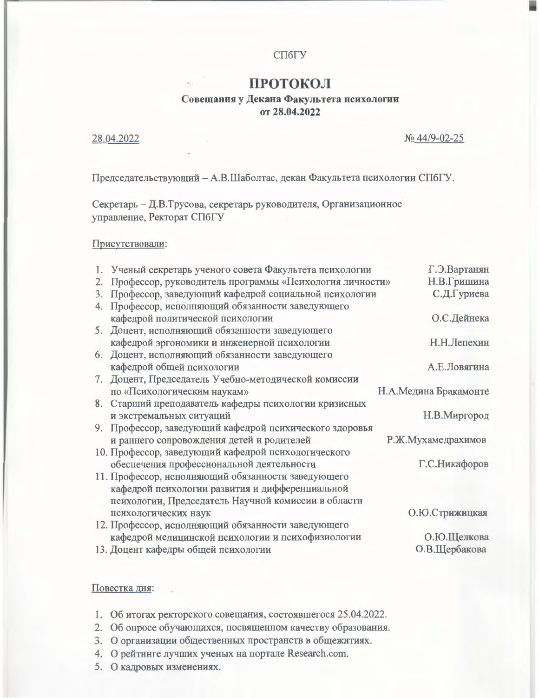# СПбГУ

# ПРОТОКОЛ

# Совещания у Декана Факультета психологии от 28.04.2022

### 28.04.2022

№ 44/9-02-25

Председательствующий - А.В.Шаболтас, декан Факультета психологии СПбГУ.

Секретарь - Д.В.Трусова, секретарь руководителя, Организационное управление, Ректорат СПбГУ

### Присутствовали:

|    | 1. Ученый секретарь ученого совета Факультета психологии   | Г.Э.Вартанян          |
|----|------------------------------------------------------------|-----------------------|
|    | 2. Профессор, руководитель программы «Психология личности» | Н.В.Гришина           |
|    | 3. Профессор, заведующий кафедрой социальной психологии    | С.Д.Гуриева           |
| 4. | Профессор, исполняющий обязанности заведующего             |                       |
|    | кафедрой политической психологии                           | О.С.Дейнека           |
|    | 5. Доцент, исполняющий обязанности заведующего             |                       |
|    | кафедрой эргономики и инженерной психологии                | Н.Н.Лепехин           |
|    | 6. Доцент, исполняющий обязанности заведующего             |                       |
|    | кафедрой общей психологии                                  | А.Е.Ловягина          |
|    | 7. Доцент, Председатель Учебно-методической комиссии       |                       |
|    | по «Психологическим наукам»                                | Н.А.Медина Бракамонте |
|    | 8. Старший преподаватель кафедры психологии кризисных      |                       |
|    | и экстремальных ситуаций                                   | Н.В.Миргород          |
|    | 9. Профессор, заведующий кафедрой психического здоровья    |                       |
|    | и раннего сопровождения детей и родителей                  | Р.Ж.Мухамедрахимов    |
|    | 10. Профессор, заведующий кафедрой психологического        |                       |
|    | обеспечения профессиональной деятельности                  | Г.С.Никифоров         |
|    | 11. Профессор, исполняющий обязанности заведующего         |                       |
|    | кафедрой психологии развития и дифференциальной            |                       |
|    | психологии, Председатель Научной комиссии в области        |                       |
|    | психологических наук                                       | О.Ю.Стрижицкая        |
|    | 12. Профессор, исполняющий обязанности заведующего         |                       |
|    | кафедрой медицинской психологии и психофизиологии          | О.Ю.Щелкова           |
|    | 13. Лонент кафелры общей психологии                        | О.В.Шербакова         |

## Повестка дня:

- 1. Об итогах ректорского совещания, состоявшегося 25.04.2022.
- 2. Об опросе обучающихся, посвященном качеству образования.
- 3. О организации общественных пространств в общежитиях.
- 4. О рейтинге лучших ученых на портале Research.com.
- 5. О кадровых изменениях.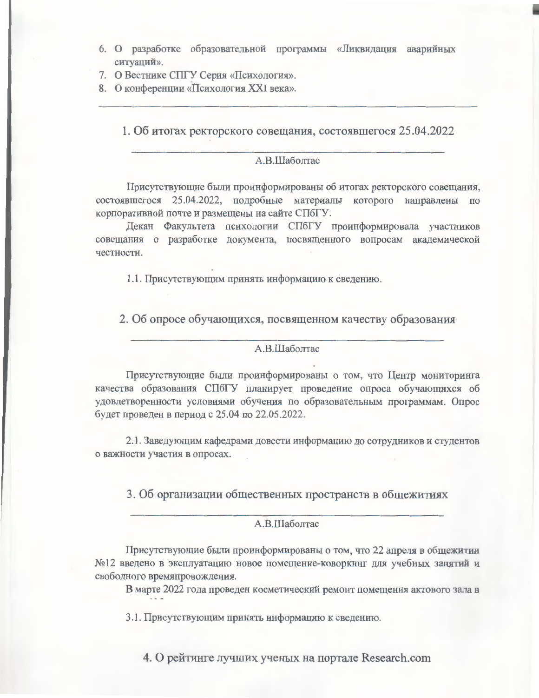- 6. О разработке образовательной программы «Ликвидация аварийных ситуаций».
- 7. О Вестнике СПГУ Серия «Психология».
- 8. О конференции «Психология XXI века».

1. Об итогах ректорского совещания, состоявшегося 25.04.2022

## А.В.Шаболтас

Присутствующие были проинформированы об итогах ректорского совещания, состоявшегося 25.04.2022, подробные материалы которого направлены по корпоративной почте и размещены на сайте СПбГУ.

Декан Факультета психологии СПбГУ проинформировала участников совещания о разработке документа, посвященного вопросам академической честности.

1.1. Присутствующим принять информацию к сведению.

2. Об опросе обучающихся, посвященном качеству образования

#### А.В.Шаболтас

Присутствующие были проинформированы о том, что Центр мониторинга качества образования СПбГУ планирует проведение опроса обучающихся об удовлетворенности условиями обучения по образовательным программам. Опрос будет проведен в период с 25.04 по 22.05.2022.

2.1. Заведующим кафедрами довести информацию до сотрудников и студентов о важности участия в опросах.

3. Об организации общественных пространств в общежитиях

## А.В.Шаболтас

Присутствующие были проинформированы о том, что 22 апреля в общежитии №12 введено в эксплуатацию новое помещение-коворкинг для учебных занятий и свободного времяпровождения.

В марте 2022 года проведен косметический ремонт помещения актового зала в

3.1. Присутствующим принять информацию к сведению.

4. О рейтинге лучших ученых на портале Research.com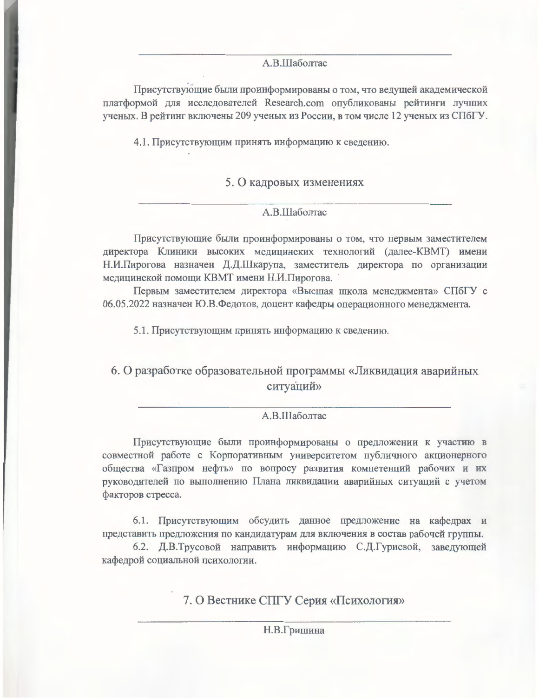### А.В.Шаболтас

Присутствующие были проинформированы о том, что ведущей академической платформой для исследователей Research.com опубликованы рейтинги лучших ученых. В рейтинг включены 209 ученых из России, в том числе 12 ученых из СПбГУ.

4.1. Присутствующим принять информацию к сведению.

# 5. О кадровых изменениях

# A.B.IIIаболтас

Присутствующие были проинформированы о том, что первым заместителем директора Клиники высоких медицинских технологий (далее-КВМТ) имени Н.И.Пирогова назначен Д.Д.Шкарупа, заместитель директора по организации медицинской помощи КВМТ имени Н.И.Пирогова.

Первым заместителем директора «Высшая школа менеджмента» СПбГУ с 06.05.2022 назначен Ю.В.Федотов, доцент кафедры операционного менеджмента.

5.1. Присутствующим принять информацию к сведению.

6. О разработке образовательной программы «Ликвидация аварийных ситуаций»

### A.B.IIIаболтас

Присутствующие были проинформированы о предложении к участию в совместной работе с Корпоративным университетом публичного акционерного общества «Газпром нефть» по вопросу развития компетенций рабочих и их руководителей по выполнению Плана ликвидации аварийных ситуаций с учетом факторов стресса.

6.1. Присутствующим обсудить данное предложение на кафедрах и представить предложения по кандидатурам для включения в состав рабочей группы.

6.2. Д.В.Трусовой направить информацию С.Д.Гуриевой, заведующей кафедрой социальной психологии.

7. О Вестнике СПГУ Серия «Психология»

Н.В.Гришина